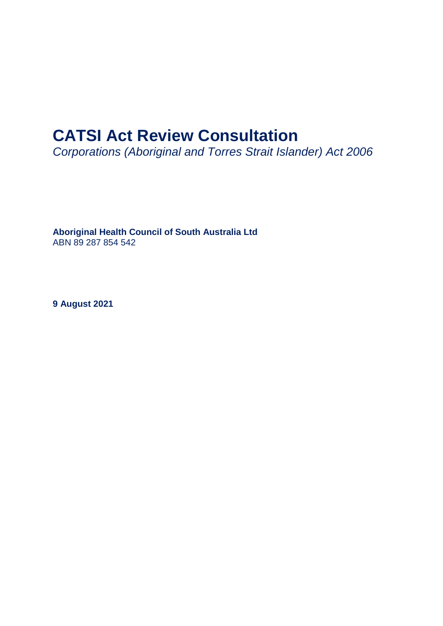# **CATSI Act Review Consultation**

*Corporations (Aboriginal and Torres Strait Islander) Act 2006*

**Aboriginal Health Council of South Australia Ltd**  ABN 89 287 854 542

**9 August 2021**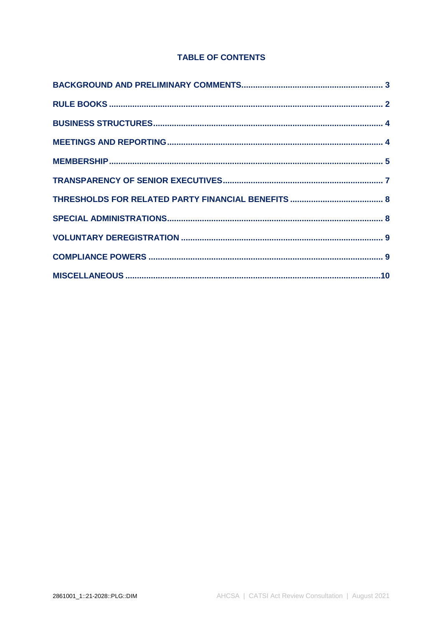# **TABLE OF CONTENTS**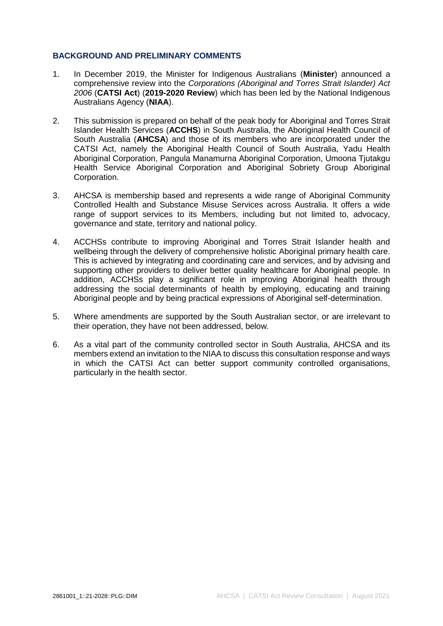## **BACKGROUND AND PRELIMINARY COMMENTS**

- 1. In December 2019, the Minister for Indigenous Australians (**Minister**) announced a comprehensive review into the *Corporations (Aboriginal and Torres Strait Islander) Act 2006* (**CATSI Act**) (**2019-2020 Review**) which has been led by the National Indigenous Australians Agency (**NIAA**).
- 2. This submission is prepared on behalf of the peak body for Aboriginal and Torres Strait Islander Health Services (**ACCHS**) in South Australia, the Aboriginal Health Council of South Australia (**AHCSA**) and those of its members who are incorporated under the CATSI Act, namely the Aboriginal Health Council of South Australia, Yadu Health Aboriginal Corporation, Pangula Manamurna Aboriginal Corporation, Umoona Tjutakgu Health Service Aboriginal Corporation and Aboriginal Sobriety Group Aboriginal Corporation.
- 3. AHCSA is membership based and represents a wide range of Aboriginal Community Controlled Health and Substance Misuse Services across Australia. It offers a wide range of support services to its Members, including but not limited to, advocacy, governance and state, territory and national policy.
- 4. ACCHSs contribute to improving Aboriginal and Torres Strait Islander health and wellbeing through the delivery of comprehensive holistic Aboriginal primary health care. This is achieved by integrating and coordinating care and services, and by advising and supporting other providers to deliver better quality healthcare for Aboriginal people. In addition, ACCHSs play a significant role in improving Aboriginal health through addressing the social determinants of health by employing, educating and training Aboriginal people and by being practical expressions of Aboriginal self-determination.
- 5. Where amendments are supported by the South Australian sector, or are irrelevant to their operation, they have not been addressed, below.
- 6. As a vital part of the community controlled sector in South Australia, AHCSA and its members extend an invitation to the NIAA to discuss this consultation response and ways in which the CATSI Act can better support community controlled organisations, particularly in the health sector.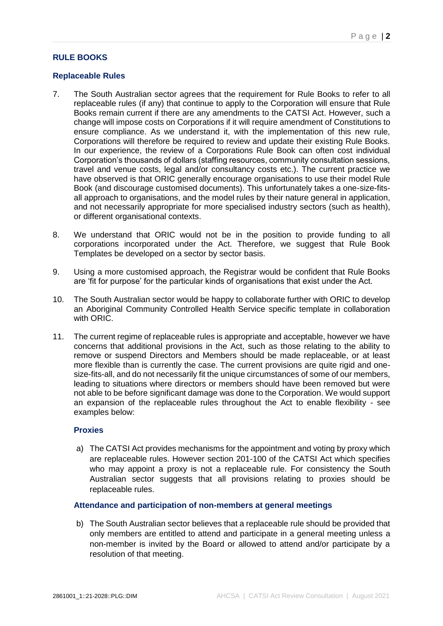## **RULE BOOKS**

## **Replaceable Rules**

- 7. The South Australian sector agrees that the requirement for Rule Books to refer to all replaceable rules (if any) that continue to apply to the Corporation will ensure that Rule Books remain current if there are any amendments to the CATSI Act. However, such a change will impose costs on Corporations if it will require amendment of Constitutions to ensure compliance. As we understand it, with the implementation of this new rule, Corporations will therefore be required to review and update their existing Rule Books. In our experience, the review of a Corporations Rule Book can often cost individual Corporation's thousands of dollars (staffing resources, community consultation sessions, travel and venue costs, legal and/or consultancy costs etc.). The current practice we have observed is that ORIC generally encourage organisations to use their model Rule Book (and discourage customised documents). This unfortunately takes a one-size-fitsall approach to organisations, and the model rules by their nature general in application, and not necessarily appropriate for more specialised industry sectors (such as health), or different organisational contexts.
- 8. We understand that ORIC would not be in the position to provide funding to all corporations incorporated under the Act. Therefore, we suggest that Rule Book Templates be developed on a sector by sector basis.
- 9. Using a more customised approach, the Registrar would be confident that Rule Books are 'fit for purpose' for the particular kinds of organisations that exist under the Act.
- 10. The South Australian sector would be happy to collaborate further with ORIC to develop an Aboriginal Community Controlled Health Service specific template in collaboration with ORIC.
- 11. The current regime of replaceable rules is appropriate and acceptable, however we have concerns that additional provisions in the Act, such as those relating to the ability to remove or suspend Directors and Members should be made replaceable, or at least more flexible than is currently the case. The current provisions are quite rigid and onesize-fits-all, and do not necessarily fit the unique circumstances of some of our members, leading to situations where directors or members should have been removed but were not able to be before significant damage was done to the Corporation. We would support an expansion of the replaceable rules throughout the Act to enable flexibility - see examples below:

#### **Proxies**

a) The CATSI Act provides mechanisms for the appointment and voting by proxy which are replaceable rules. However section 201-100 of the CATSI Act which specifies who may appoint a proxy is not a replaceable rule. For consistency the South Australian sector suggests that all provisions relating to proxies should be replaceable rules.

### **Attendance and participation of non-members at general meetings**

b) The South Australian sector believes that a replaceable rule should be provided that only members are entitled to attend and participate in a general meeting unless a non-member is invited by the Board or allowed to attend and/or participate by a resolution of that meeting.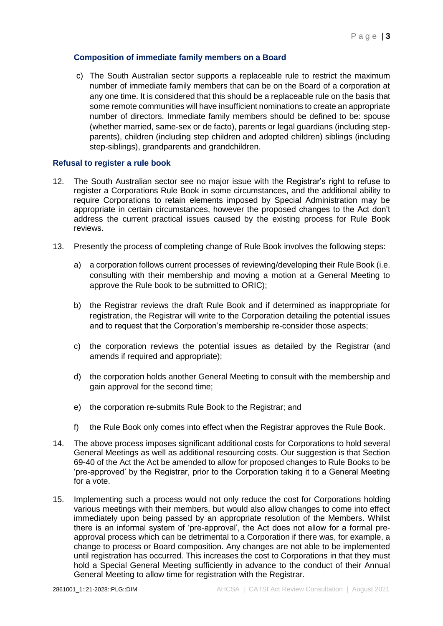## **Composition of immediate family members on a Board**

c) The South Australian sector supports a replaceable rule to restrict the maximum number of immediate family members that can be on the Board of a corporation at any one time. It is considered that this should be a replaceable rule on the basis that some remote communities will have insufficient nominations to create an appropriate number of directors. Immediate family members should be defined to be: spouse (whether married, same-sex or de facto), parents or legal guardians (including stepparents), children (including step children and adopted children) siblings (including step-siblings), grandparents and grandchildren.

#### **Refusal to register a rule book**

- 12. The South Australian sector see no major issue with the Registrar's right to refuse to register a Corporations Rule Book in some circumstances, and the additional ability to require Corporations to retain elements imposed by Special Administration may be appropriate in certain circumstances, however the proposed changes to the Act don't address the current practical issues caused by the existing process for Rule Book reviews.
- 13. Presently the process of completing change of Rule Book involves the following steps:
	- a) a corporation follows current processes of reviewing/developing their Rule Book (i.e. consulting with their membership and moving a motion at a General Meeting to approve the Rule book to be submitted to ORIC);
	- b) the Registrar reviews the draft Rule Book and if determined as inappropriate for registration, the Registrar will write to the Corporation detailing the potential issues and to request that the Corporation's membership re-consider those aspects;
	- c) the corporation reviews the potential issues as detailed by the Registrar (and amends if required and appropriate);
	- d) the corporation holds another General Meeting to consult with the membership and gain approval for the second time;
	- e) the corporation re-submits Rule Book to the Registrar; and
	- f) the Rule Book only comes into effect when the Registrar approves the Rule Book.
- 14. The above process imposes significant additional costs for Corporations to hold several General Meetings as well as additional resourcing costs. Our suggestion is that Section 69-40 of the Act the Act be amended to allow for proposed changes to Rule Books to be 'pre-approved' by the Registrar, prior to the Corporation taking it to a General Meeting for a vote.
- 15. Implementing such a process would not only reduce the cost for Corporations holding various meetings with their members, but would also allow changes to come into effect immediately upon being passed by an appropriate resolution of the Members. Whilst there is an informal system of 'pre-approval', the Act does not allow for a formal preapproval process which can be detrimental to a Corporation if there was, for example, a change to process or Board composition. Any changes are not able to be implemented until registration has occurred. This increases the cost to Corporations in that they must hold a Special General Meeting sufficiently in advance to the conduct of their Annual General Meeting to allow time for registration with the Registrar.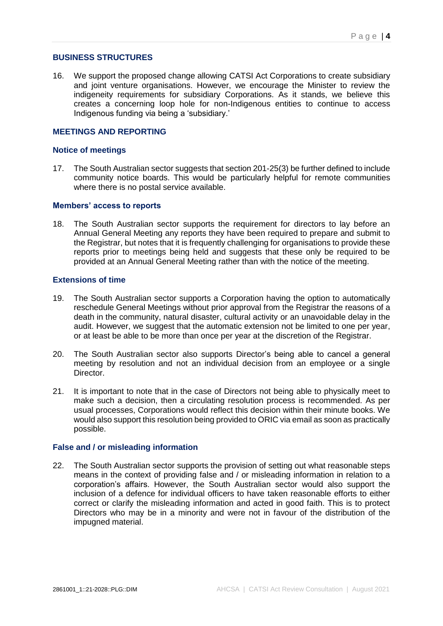## **BUSINESS STRUCTURES**

16. We support the proposed change allowing CATSI Act Corporations to create subsidiary and joint venture organisations. However, we encourage the Minister to review the indigeneity requirements for subsidiary Corporations. As it stands, we believe this creates a concerning loop hole for non-Indigenous entities to continue to access Indigenous funding via being a 'subsidiary.'

#### **MEETINGS AND REPORTING**

#### **Notice of meetings**

17. The South Australian sector suggests that section 201-25(3) be further defined to include community notice boards. This would be particularly helpful for remote communities where there is no postal service available.

#### **Members' access to reports**

18. The South Australian sector supports the requirement for directors to lay before an Annual General Meeting any reports they have been required to prepare and submit to the Registrar, but notes that it is frequently challenging for organisations to provide these reports prior to meetings being held and suggests that these only be required to be provided at an Annual General Meeting rather than with the notice of the meeting.

#### **Extensions of time**

- 19. The South Australian sector supports a Corporation having the option to automatically reschedule General Meetings without prior approval from the Registrar the reasons of a death in the community, natural disaster, cultural activity or an unavoidable delay in the audit. However, we suggest that the automatic extension not be limited to one per year, or at least be able to be more than once per year at the discretion of the Registrar.
- 20. The South Australian sector also supports Director's being able to cancel a general meeting by resolution and not an individual decision from an employee or a single Director.
- 21. It is important to note that in the case of Directors not being able to physically meet to make such a decision, then a circulating resolution process is recommended. As per usual processes, Corporations would reflect this decision within their minute books. We would also support this resolution being provided to ORIC via email as soon as practically possible.

#### **False and / or misleading information**

22. The South Australian sector supports the provision of setting out what reasonable steps means in the context of providing false and / or misleading information in relation to a corporation's affairs. However, the South Australian sector would also support the inclusion of a defence for individual officers to have taken reasonable efforts to either correct or clarify the misleading information and acted in good faith. This is to protect Directors who may be in a minority and were not in favour of the distribution of the impugned material.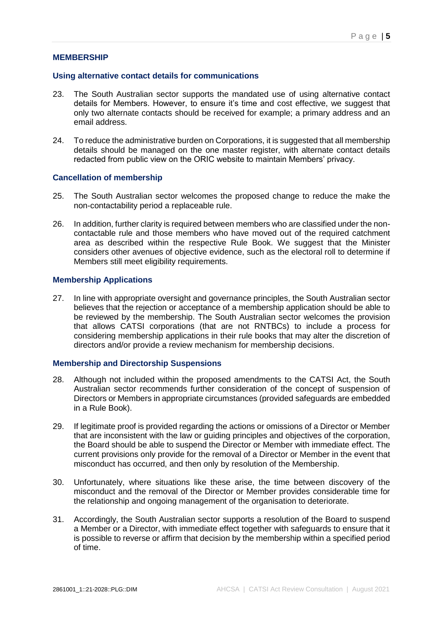## **MEMBERSHIP**

#### **Using alternative contact details for communications**

- 23. The South Australian sector supports the mandated use of using alternative contact details for Members. However, to ensure it's time and cost effective, we suggest that only two alternate contacts should be received for example; a primary address and an email address.
- 24. To reduce the administrative burden on Corporations, it is suggested that all membership details should be managed on the one master register, with alternate contact details redacted from public view on the ORIC website to maintain Members' privacy.

## **Cancellation of membership**

- 25. The South Australian sector welcomes the proposed change to reduce the make the non-contactability period a replaceable rule.
- 26. In addition, further clarity is required between members who are classified under the noncontactable rule and those members who have moved out of the required catchment area as described within the respective Rule Book. We suggest that the Minister considers other avenues of objective evidence, such as the electoral roll to determine if Members still meet eligibility requirements.

## **Membership Applications**

27. In line with appropriate oversight and governance principles, the South Australian sector believes that the rejection or acceptance of a membership application should be able to be reviewed by the membership. The South Australian sector welcomes the provision that allows CATSI corporations (that are not RNTBCs) to include a process for considering membership applications in their rule books that may alter the discretion of directors and/or provide a review mechanism for membership decisions.

#### **Membership and Directorship Suspensions**

- 28. Although not included within the proposed amendments to the CATSI Act, the South Australian sector recommends further consideration of the concept of suspension of Directors or Members in appropriate circumstances (provided safeguards are embedded in a Rule Book).
- 29. If legitimate proof is provided regarding the actions or omissions of a Director or Member that are inconsistent with the law or guiding principles and objectives of the corporation, the Board should be able to suspend the Director or Member with immediate effect. The current provisions only provide for the removal of a Director or Member in the event that misconduct has occurred, and then only by resolution of the Membership.
- 30. Unfortunately, where situations like these arise, the time between discovery of the misconduct and the removal of the Director or Member provides considerable time for the relationship and ongoing management of the organisation to deteriorate.
- 31. Accordingly, the South Australian sector supports a resolution of the Board to suspend a Member or a Director, with immediate effect together with safeguards to ensure that it is possible to reverse or affirm that decision by the membership within a specified period of time.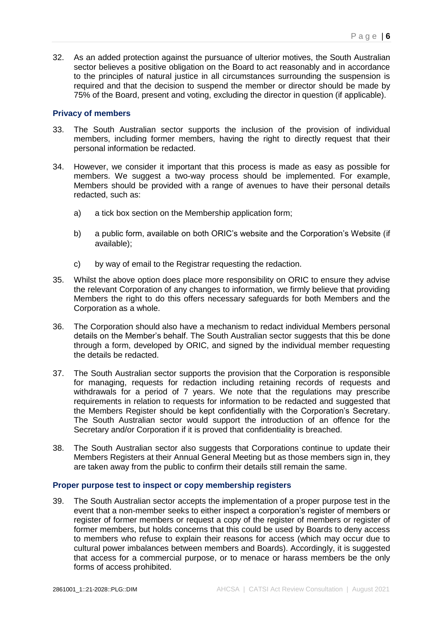32. As an added protection against the pursuance of ulterior motives, the South Australian sector believes a positive obligation on the Board to act reasonably and in accordance to the principles of natural justice in all circumstances surrounding the suspension is required and that the decision to suspend the member or director should be made by 75% of the Board, present and voting, excluding the director in question (if applicable).

#### **Privacy of members**

- 33. The South Australian sector supports the inclusion of the provision of individual members, including former members, having the right to directly request that their personal information be redacted.
- 34. However, we consider it important that this process is made as easy as possible for members. We suggest a two-way process should be implemented. For example, Members should be provided with a range of avenues to have their personal details redacted, such as:
	- a) a tick box section on the Membership application form;
	- b) a public form, available on both ORIC's website and the Corporation's Website (if available);
	- c) by way of email to the Registrar requesting the redaction.
- 35. Whilst the above option does place more responsibility on ORIC to ensure they advise the relevant Corporation of any changes to information, we firmly believe that providing Members the right to do this offers necessary safeguards for both Members and the Corporation as a whole.
- 36. The Corporation should also have a mechanism to redact individual Members personal details on the Member's behalf. The South Australian sector suggests that this be done through a form, developed by ORIC, and signed by the individual member requesting the details be redacted.
- 37. The South Australian sector supports the provision that the Corporation is responsible for managing, requests for redaction including retaining records of requests and withdrawals for a period of 7 years. We note that the regulations may prescribe requirements in relation to requests for information to be redacted and suggested that the Members Register should be kept confidentially with the Corporation's Secretary. The South Australian sector would support the introduction of an offence for the Secretary and/or Corporation if it is proved that confidentiality is breached.
- 38. The South Australian sector also suggests that Corporations continue to update their Members Registers at their Annual General Meeting but as those members sign in, they are taken away from the public to confirm their details still remain the same.

#### **Proper purpose test to inspect or copy membership registers**

39. The South Australian sector accepts the implementation of a proper purpose test in the event that a non-member seeks to either inspect a corporation's register of members or register of former members or request a copy of the register of members or register of former members, but holds concerns that this could be used by Boards to deny access to members who refuse to explain their reasons for access (which may occur due to cultural power imbalances between members and Boards). Accordingly, it is suggested that access for a commercial purpose, or to menace or harass members be the only forms of access prohibited.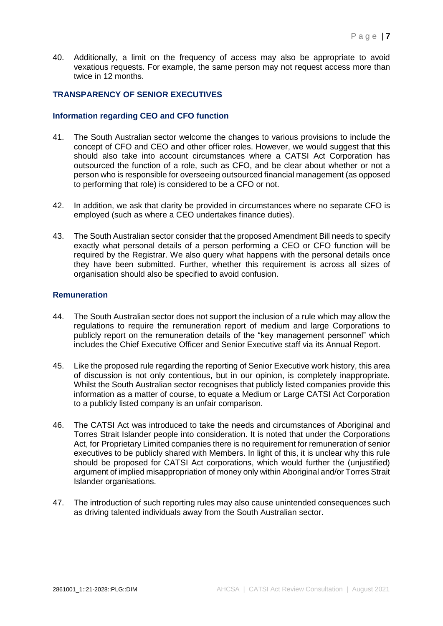40. Additionally, a limit on the frequency of access may also be appropriate to avoid vexatious requests. For example, the same person may not request access more than twice in 12 months.

## **TRANSPARENCY OF SENIOR EXECUTIVES**

## **Information regarding CEO and CFO function**

- 41. The South Australian sector welcome the changes to various provisions to include the concept of CFO and CEO and other officer roles. However, we would suggest that this should also take into account circumstances where a CATSI Act Corporation has outsourced the function of a role, such as CFO, and be clear about whether or not a person who is responsible for overseeing outsourced financial management (as opposed to performing that role) is considered to be a CFO or not.
- 42. In addition, we ask that clarity be provided in circumstances where no separate CFO is employed (such as where a CEO undertakes finance duties).
- 43. The South Australian sector consider that the proposed Amendment Bill needs to specify exactly what personal details of a person performing a CEO or CFO function will be required by the Registrar. We also query what happens with the personal details once they have been submitted. Further, whether this requirement is across all sizes of organisation should also be specified to avoid confusion.

#### **Remuneration**

- 44. The South Australian sector does not support the inclusion of a rule which may allow the regulations to require the remuneration report of medium and large Corporations to publicly report on the remuneration details of the "key management personnel" which includes the Chief Executive Officer and Senior Executive staff via its Annual Report.
- 45. Like the proposed rule regarding the reporting of Senior Executive work history, this area of discussion is not only contentious, but in our opinion, is completely inappropriate. Whilst the South Australian sector recognises that publicly listed companies provide this information as a matter of course, to equate a Medium or Large CATSI Act Corporation to a publicly listed company is an unfair comparison.
- 46. The CATSI Act was introduced to take the needs and circumstances of Aboriginal and Torres Strait Islander people into consideration. It is noted that under the Corporations Act, for Proprietary Limited companies there is no requirement for remuneration of senior executives to be publicly shared with Members. In light of this, it is unclear why this rule should be proposed for CATSI Act corporations, which would further the (unjustified) argument of implied misappropriation of money only within Aboriginal and/or Torres Strait Islander organisations.
- 47. The introduction of such reporting rules may also cause unintended consequences such as driving talented individuals away from the South Australian sector.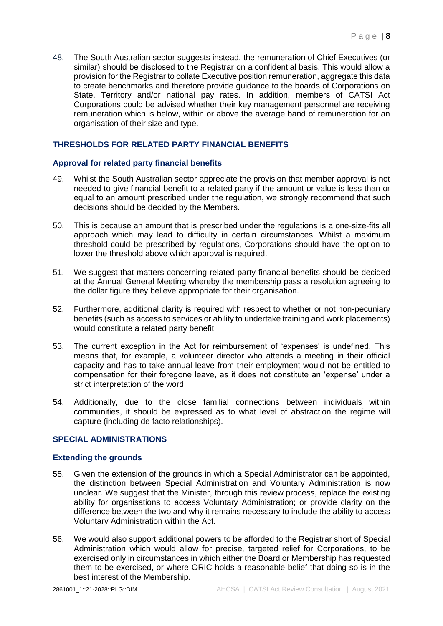48. The South Australian sector suggests instead, the remuneration of Chief Executives (or similar) should be disclosed to the Registrar on a confidential basis. This would allow a provision for the Registrar to collate Executive position remuneration, aggregate this data to create benchmarks and therefore provide guidance to the boards of Corporations on State, Territory and/or national pay rates. In addition, members of CATSI Act Corporations could be advised whether their key management personnel are receiving remuneration which is below, within or above the average band of remuneration for an organisation of their size and type.

## **THRESHOLDS FOR RELATED PARTY FINANCIAL BENEFITS**

## **Approval for related party financial benefits**

- 49. Whilst the South Australian sector appreciate the provision that member approval is not needed to give financial benefit to a related party if the amount or value is less than or equal to an amount prescribed under the regulation, we strongly recommend that such decisions should be decided by the Members.
- 50. This is because an amount that is prescribed under the regulations is a one-size-fits all approach which may lead to difficulty in certain circumstances. Whilst a maximum threshold could be prescribed by regulations, Corporations should have the option to lower the threshold above which approval is required.
- 51. We suggest that matters concerning related party financial benefits should be decided at the Annual General Meeting whereby the membership pass a resolution agreeing to the dollar figure they believe appropriate for their organisation.
- 52. Furthermore, additional clarity is required with respect to whether or not non-pecuniary benefits (such as access to services or ability to undertake training and work placements) would constitute a related party benefit.
- 53. The current exception in the Act for reimbursement of 'expenses' is undefined. This means that, for example, a volunteer director who attends a meeting in their official capacity and has to take annual leave from their employment would not be entitled to compensation for their foregone leave, as it does not constitute an 'expense' under a strict interpretation of the word.
- 54. Additionally, due to the close familial connections between individuals within communities, it should be expressed as to what level of abstraction the regime will capture (including de facto relationships).

## **SPECIAL ADMINISTRATIONS**

#### **Extending the grounds**

- 55. Given the extension of the grounds in which a Special Administrator can be appointed, the distinction between Special Administration and Voluntary Administration is now unclear. We suggest that the Minister, through this review process, replace the existing ability for organisations to access Voluntary Administration; or provide clarity on the difference between the two and why it remains necessary to include the ability to access Voluntary Administration within the Act.
- 56. We would also support additional powers to be afforded to the Registrar short of Special Administration which would allow for precise, targeted relief for Corporations, to be exercised only in circumstances in which either the Board or Membership has requested them to be exercised, or where ORIC holds a reasonable belief that doing so is in the best interest of the Membership.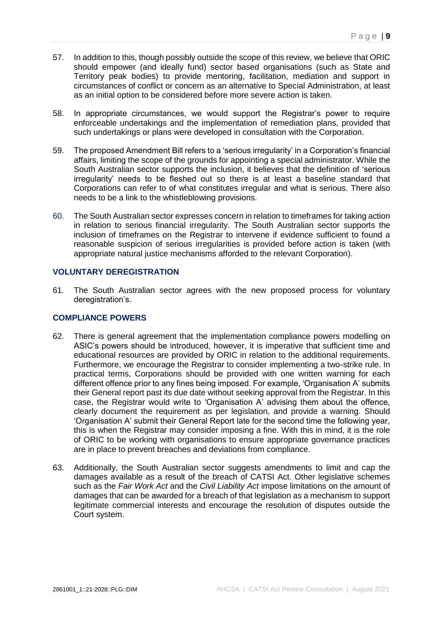- 57. In addition to this, though possibly outside the scope of this review, we believe that ORIC should empower (and ideally fund) sector based organisations (such as State and Territory peak bodies) to provide mentoring, facilitation, mediation and support in circumstances of conflict or concern as an alternative to Special Administration, at least as an initial option to be considered before more severe action is taken.
- 58. In appropriate circumstances, we would support the Registrar's power to require enforceable undertakings and the implementation of remediation plans, provided that such undertakings or plans were developed in consultation with the Corporation.
- 59. The proposed Amendment Bill refers to a 'serious irregularity' in a Corporation's financial affairs, limiting the scope of the grounds for appointing a special administrator. While the South Australian sector supports the inclusion, it believes that the definition of 'serious irregularity' needs to be fleshed out so there is at least a baseline standard that Corporations can refer to of what constitutes irregular and what is serious. There also needs to be a link to the whistleblowing provisions.
- 60. The South Australian sector expresses concern in relation to timeframes for taking action in relation to serious financial irregularity. The South Australian sector supports the inclusion of timeframes on the Registrar to intervene if evidence sufficient to found a reasonable suspicion of serious irregularities is provided before action is taken (with appropriate natural justice mechanisms afforded to the relevant Corporation).

## **VOLUNTARY DEREGISTRATION**

61. The South Australian sector agrees with the new proposed process for voluntary deregistration's.

## **COMPLIANCE POWERS**

- 62. There is general agreement that the implementation compliance powers modelling on ASIC's powers should be introduced, however, it is imperative that sufficient time and educational resources are provided by ORIC in relation to the additional requirements. Furthermore, we encourage the Registrar to consider implementing a two-strike rule. In practical terms, Corporations should be provided with one written warning for each different offence prior to any fines being imposed. For example, 'Organisation A' submits their General report past its due date without seeking approval from the Registrar. In this case, the Registrar would write to 'Organisation A' advising them about the offence, clearly document the requirement as per legislation, and provide a warning. Should 'Organisation A' submit their General Report late for the second time the following year, this is when the Registrar may consider imposing a fine. With this in mind, it is the role of ORIC to be working with organisations to ensure appropriate governance practices are in place to prevent breaches and deviations from compliance.
- 63. Additionally, the South Australian sector suggests amendments to limit and cap the damages available as a result of the breach of CATSI Act. Other legislative schemes such as the *Fair Work Act* and the *Civil Liability Act* impose limitations on the amount of damages that can be awarded for a breach of that legislation as a mechanism to support legitimate commercial interests and encourage the resolution of disputes outside the Court system.